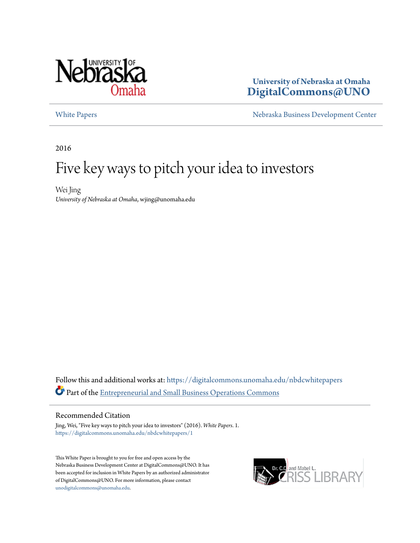

## **University of Nebraska at Omaha [DigitalCommons@UNO](https://digitalcommons.unomaha.edu?utm_source=digitalcommons.unomaha.edu%2Fnbdcwhitepapers%2F1&utm_medium=PDF&utm_campaign=PDFCoverPages)**

[White Papers](https://digitalcommons.unomaha.edu/nbdcwhitepapers?utm_source=digitalcommons.unomaha.edu%2Fnbdcwhitepapers%2F1&utm_medium=PDF&utm_campaign=PDFCoverPages) **[Nebraska Business Development Center](https://digitalcommons.unomaha.edu/nbdc?utm_source=digitalcommons.unomaha.edu%2Fnbdcwhitepapers%2F1&utm_medium=PDF&utm_campaign=PDFCoverPages)** 

2016

# Five key ways to pitch your idea to investors

Wei Jing *University of Nebraska at Omaha*, wjing@unomaha.edu

Follow this and additional works at: [https://digitalcommons.unomaha.edu/nbdcwhitepapers](https://digitalcommons.unomaha.edu/nbdcwhitepapers?utm_source=digitalcommons.unomaha.edu%2Fnbdcwhitepapers%2F1&utm_medium=PDF&utm_campaign=PDFCoverPages) Part of the [Entrepreneurial and Small Business Operations Commons](http://network.bepress.com/hgg/discipline/630?utm_source=digitalcommons.unomaha.edu%2Fnbdcwhitepapers%2F1&utm_medium=PDF&utm_campaign=PDFCoverPages)

#### Recommended Citation

Jing, Wei, "Five key ways to pitch your idea to investors" (2016). *White Papers*. 1. [https://digitalcommons.unomaha.edu/nbdcwhitepapers/1](https://digitalcommons.unomaha.edu/nbdcwhitepapers/1?utm_source=digitalcommons.unomaha.edu%2Fnbdcwhitepapers%2F1&utm_medium=PDF&utm_campaign=PDFCoverPages)

This White Paper is brought to you for free and open access by the Nebraska Business Development Center at DigitalCommons@UNO. It has been accepted for inclusion in White Papers by an authorized administrator of DigitalCommons@UNO. For more information, please contact [unodigitalcommons@unomaha.edu](mailto:unodigitalcommons@unomaha.edu).

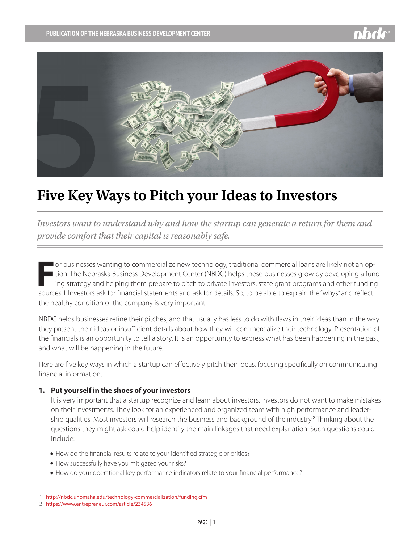

## **Five Key Ways to Pitch your Ideas to Investors**

*Investors want to understand why and how the startup can generate a return for them and provide comfort that their capital is reasonably safe.* 

**F** or businesses wanting to commercialize new technology, traditional commercial loans are likely not an op-I tion. The Nebraska Business Development Center (NBDC) helps these businesses grow by developing a funding strategy and helping them prepare to pitch to private investors, state grant programs and other funding sources.1 Investors ask for financial statements and ask for details. So, to be able to explain the "whys" and reflect the healthy condition of the company is very important.

NBDC helps businesses refine their pitches, and that usually has less to do with flaws in their ideas than in the way they present their ideas or insufficient details about how they will commercialize their technology. Presentation of the financials is an opportunity to tell a story. It is an opportunity to express what has been happening in the past, and what will be happening in the future.

Here are five key ways in which a startup can effectively pitch their ideas, focusing specifically on communicating financial information.

### **1. Put yourself in the shoes of your investors**

It is very important that a startup recognize and learn about investors. Investors do not want to make mistakes on their investments. They look for an experienced and organized team with high performance and leadership qualities. Most investors will research the business and background of the industry.<sup>2</sup> Thinking about the questions they might ask could help identify the main linkages that need explanation. Such questions could include:

- $\bullet$  How do the financial results relate to your identified strategic priorities?
- $\bullet$  How successfully have you mitigated your risks?
- $\bullet$  How do your operational key performance indicators relate to your financial performance?

<sup>1</sup> <http://nbdc.unomaha.edu/technology-commercialization/funding.cfm>

<sup>2</sup> <https://www.entrepreneur.com/article/234536>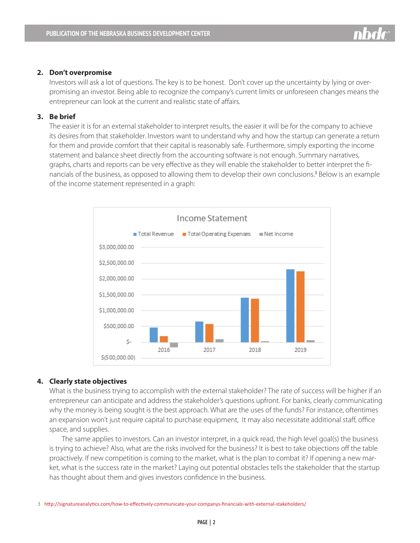#### **2. Don't overpromise**

Investors will ask a lot of questions. The key is to be honest. Don't cover up the uncertainty by lying or overpromising an investor. Being able to recognize the company's current limits or unforeseen changes means the entrepreneur can look at the current and realistic state of affairs.

### **3. Be brief**

The easier it is for an external stakeholder to interpret results, the easier it will be for the company to achieve its desires from that stakeholder. Investors want to understand why and how the startup can generate a return for them and provide comfort that their capital is reasonably safe. Furthermore, simply exporting the income statement and balance sheet directly from the accounting software [is not enough.](http://signatureanalytics.com/outsourced-accounting-services/best-practices/investor-reporting/) Summary narratives, graphs, charts and reports can be very effective as they will enable the stakeholder to better interpret the financials of the business, as opposed to allowing them to develop their own conclusions.<sup>3</sup> Below is an example of the income statement represented in a graph:



#### **4. Clearly state objectives**

What is the business trying to accomplish with the external stakeholder? The rate of success will be higher if an entrepreneur can anticipate and address the stakeholder's questions upfront. For banks, clearly communicating why the money is being sought is the best approach. What are the uses of the funds? For instance, oftentimes an expansion won't just require capital to purchase equipment, It may also necessitate additional staff, office space, and supplies.

 The same applies to investors. Can an investor interpret, in a quick read, the high level goal(s) the business is trying to achieve? Also, what are the risks involved for the business? It is best to take objections off the table proactively. If new competition is coming to the market, what is the plan to combat it? If opening a new market, what is the success rate in the market? Laying out potential obstacles tells the stakeholder that the startup has thought about them and gives investors confidence in the business.

3 <http://signatureanalytics.com/how-to-effectively-communicate-your-companys-financials-with-external-stakeholders/>